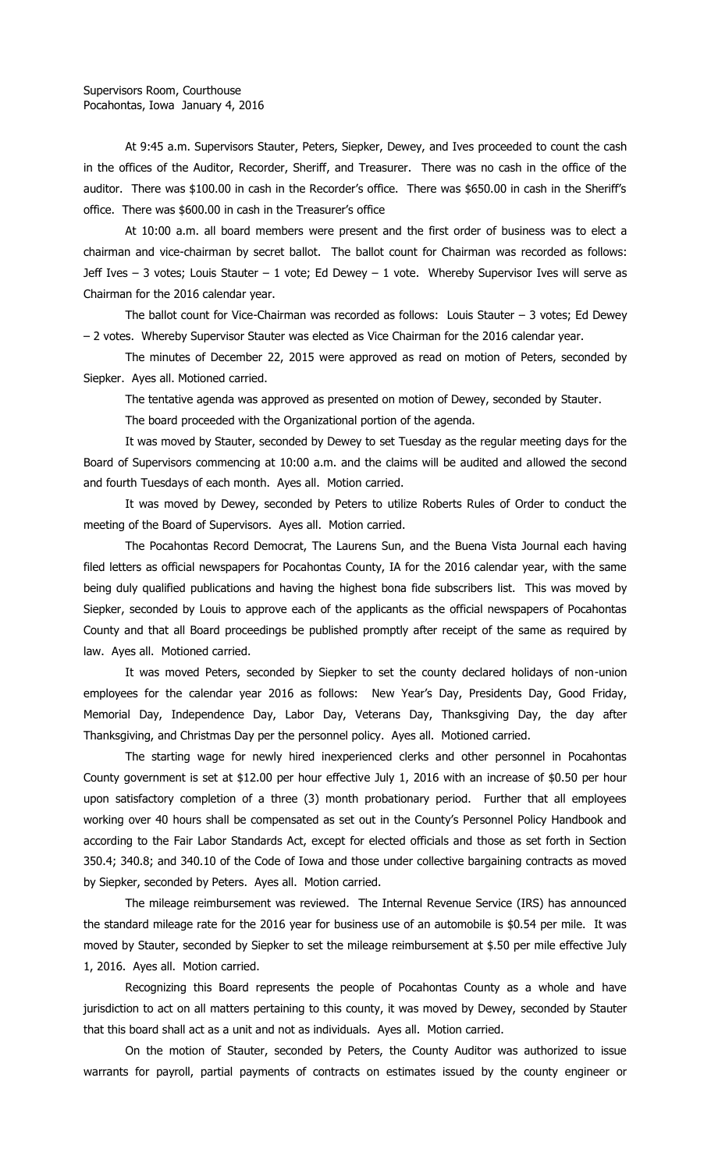At 9:45 a.m. Supervisors Stauter, Peters, Siepker, Dewey, and Ives proceeded to count the cash in the offices of the Auditor, Recorder, Sheriff, and Treasurer. There was no cash in the office of the auditor. There was \$100.00 in cash in the Recorder's office. There was \$650.00 in cash in the Sheriff's office. There was \$600.00 in cash in the Treasurer's office

At 10:00 a.m. all board members were present and the first order of business was to elect a chairman and vice-chairman by secret ballot. The ballot count for Chairman was recorded as follows: Jeff Ives – 3 votes; Louis Stauter – 1 vote; Ed Dewey – 1 vote. Whereby Supervisor Ives will serve as Chairman for the 2016 calendar year.

The ballot count for Vice-Chairman was recorded as follows: Louis Stauter – 3 votes; Ed Dewey – 2 votes. Whereby Supervisor Stauter was elected as Vice Chairman for the 2016 calendar year.

The minutes of December 22, 2015 were approved as read on motion of Peters, seconded by Siepker. Ayes all. Motioned carried.

The tentative agenda was approved as presented on motion of Dewey, seconded by Stauter.

The board proceeded with the Organizational portion of the agenda.

It was moved by Stauter, seconded by Dewey to set Tuesday as the regular meeting days for the Board of Supervisors commencing at 10:00 a.m. and the claims will be audited and allowed the second and fourth Tuesdays of each month. Ayes all. Motion carried.

It was moved by Dewey, seconded by Peters to utilize Roberts Rules of Order to conduct the meeting of the Board of Supervisors. Ayes all. Motion carried.

The Pocahontas Record Democrat, The Laurens Sun, and the Buena Vista Journal each having filed letters as official newspapers for Pocahontas County, IA for the 2016 calendar year, with the same being duly qualified publications and having the highest bona fide subscribers list. This was moved by Siepker, seconded by Louis to approve each of the applicants as the official newspapers of Pocahontas County and that all Board proceedings be published promptly after receipt of the same as required by law. Ayes all. Motioned carried.

It was moved Peters, seconded by Siepker to set the county declared holidays of non-union employees for the calendar year 2016 as follows: New Year's Day, Presidents Day, Good Friday, Memorial Day, Independence Day, Labor Day, Veterans Day, Thanksgiving Day, the day after Thanksgiving, and Christmas Day per the personnel policy. Ayes all. Motioned carried.

The starting wage for newly hired inexperienced clerks and other personnel in Pocahontas County government is set at \$12.00 per hour effective July 1, 2016 with an increase of \$0.50 per hour upon satisfactory completion of a three (3) month probationary period. Further that all employees working over 40 hours shall be compensated as set out in the County's Personnel Policy Handbook and according to the Fair Labor Standards Act, except for elected officials and those as set forth in Section 350.4; 340.8; and 340.10 of the Code of Iowa and those under collective bargaining contracts as moved by Siepker, seconded by Peters. Ayes all. Motion carried.

The mileage reimbursement was reviewed. The Internal Revenue Service (IRS) has announced the standard mileage rate for the 2016 year for business use of an automobile is \$0.54 per mile. It was moved by Stauter, seconded by Siepker to set the mileage reimbursement at \$.50 per mile effective July 1, 2016. Ayes all. Motion carried.

Recognizing this Board represents the people of Pocahontas County as a whole and have jurisdiction to act on all matters pertaining to this county, it was moved by Dewey, seconded by Stauter that this board shall act as a unit and not as individuals. Ayes all. Motion carried.

On the motion of Stauter, seconded by Peters, the County Auditor was authorized to issue warrants for payroll, partial payments of contracts on estimates issued by the county engineer or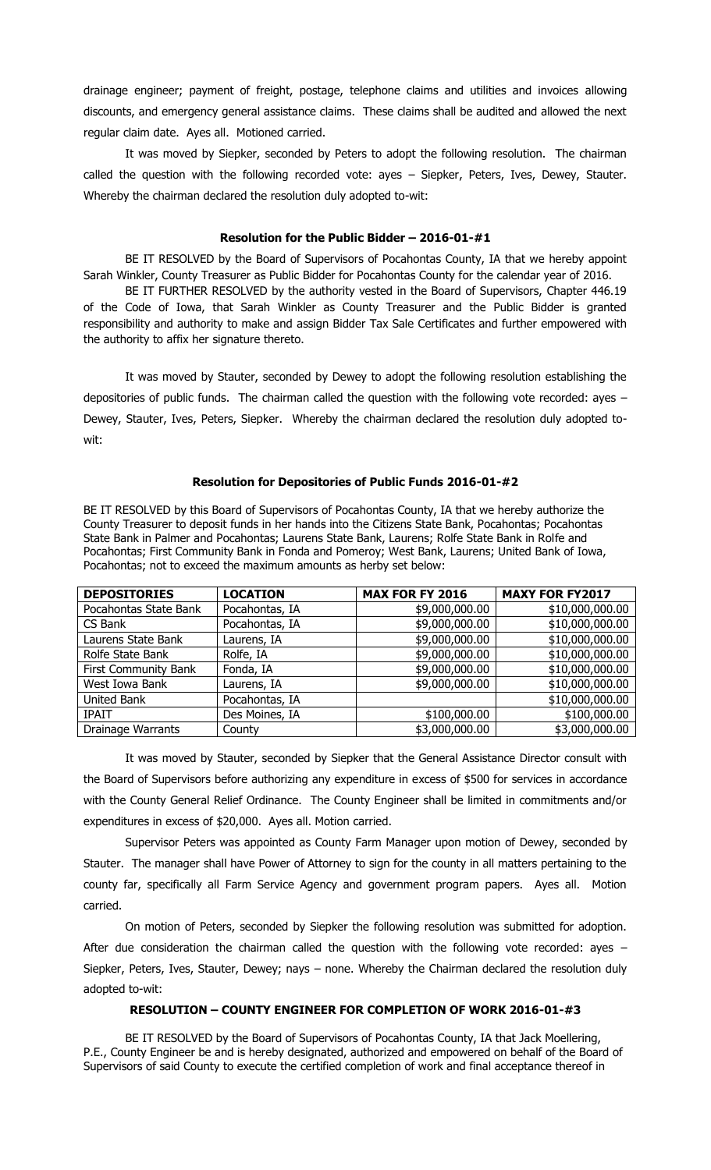drainage engineer; payment of freight, postage, telephone claims and utilities and invoices allowing discounts, and emergency general assistance claims. These claims shall be audited and allowed the next regular claim date. Ayes all. Motioned carried.

It was moved by Siepker, seconded by Peters to adopt the following resolution. The chairman called the question with the following recorded vote: ayes – Siepker, Peters, Ives, Dewey, Stauter. Whereby the chairman declared the resolution duly adopted to-wit:

## **Resolution for the Public Bidder – 2016-01-#1**

BE IT RESOLVED by the Board of Supervisors of Pocahontas County, IA that we hereby appoint Sarah Winkler, County Treasurer as Public Bidder for Pocahontas County for the calendar year of 2016.

BE IT FURTHER RESOLVED by the authority vested in the Board of Supervisors, Chapter 446.19 of the Code of Iowa, that Sarah Winkler as County Treasurer and the Public Bidder is granted responsibility and authority to make and assign Bidder Tax Sale Certificates and further empowered with the authority to affix her signature thereto.

It was moved by Stauter, seconded by Dewey to adopt the following resolution establishing the depositories of public funds. The chairman called the question with the following vote recorded: ayes – Dewey, Stauter, Ives, Peters, Siepker. Whereby the chairman declared the resolution duly adopted towit:

## **Resolution for Depositories of Public Funds 2016-01-#2**

BE IT RESOLVED by this Board of Supervisors of Pocahontas County, IA that we hereby authorize the County Treasurer to deposit funds in her hands into the Citizens State Bank, Pocahontas; Pocahontas State Bank in Palmer and Pocahontas; Laurens State Bank, Laurens; Rolfe State Bank in Rolfe and Pocahontas; First Community Bank in Fonda and Pomeroy; West Bank, Laurens; United Bank of Iowa, Pocahontas; not to exceed the maximum amounts as herby set below:

| <b>DEPOSITORIES</b>         | <b>LOCATION</b> | <b>MAX FOR FY 2016</b> | <b>MAXY FOR FY2017</b> |
|-----------------------------|-----------------|------------------------|------------------------|
| Pocahontas State Bank       | Pocahontas, IA  | \$9,000,000.00         | \$10,000,000.00        |
| CS Bank                     | Pocahontas, IA  | \$9,000,000.00         | \$10,000,000.00        |
| Laurens State Bank          | Laurens, IA     | \$9,000,000.00         | \$10,000,000.00        |
| Rolfe State Bank            | Rolfe, IA       | \$9,000,000.00         | \$10,000,000.00        |
| <b>First Community Bank</b> | Fonda, IA       | \$9,000,000.00         | \$10,000,000.00        |
| West Iowa Bank              | Laurens, IA     | \$9,000,000.00         | \$10,000,000.00        |
| United Bank                 | Pocahontas, IA  |                        | \$10,000,000.00        |
| <b>IPAIT</b>                | Des Moines, IA  | \$100,000.00           | \$100,000.00           |
| <b>Drainage Warrants</b>    | County          | \$3,000,000.00         | \$3,000,000.00         |

It was moved by Stauter, seconded by Siepker that the General Assistance Director consult with the Board of Supervisors before authorizing any expenditure in excess of \$500 for services in accordance with the County General Relief Ordinance. The County Engineer shall be limited in commitments and/or expenditures in excess of \$20,000. Ayes all. Motion carried.

Supervisor Peters was appointed as County Farm Manager upon motion of Dewey, seconded by Stauter. The manager shall have Power of Attorney to sign for the county in all matters pertaining to the county far, specifically all Farm Service Agency and government program papers. Ayes all. Motion carried.

On motion of Peters, seconded by Siepker the following resolution was submitted for adoption. After due consideration the chairman called the question with the following vote recorded: ayes -Siepker, Peters, Ives, Stauter, Dewey; nays – none. Whereby the Chairman declared the resolution duly adopted to-wit:

## **RESOLUTION – COUNTY ENGINEER FOR COMPLETION OF WORK 2016-01-#3**

BE IT RESOLVED by the Board of Supervisors of Pocahontas County, IA that Jack Moellering, P.E., County Engineer be and is hereby designated, authorized and empowered on behalf of the Board of Supervisors of said County to execute the certified completion of work and final acceptance thereof in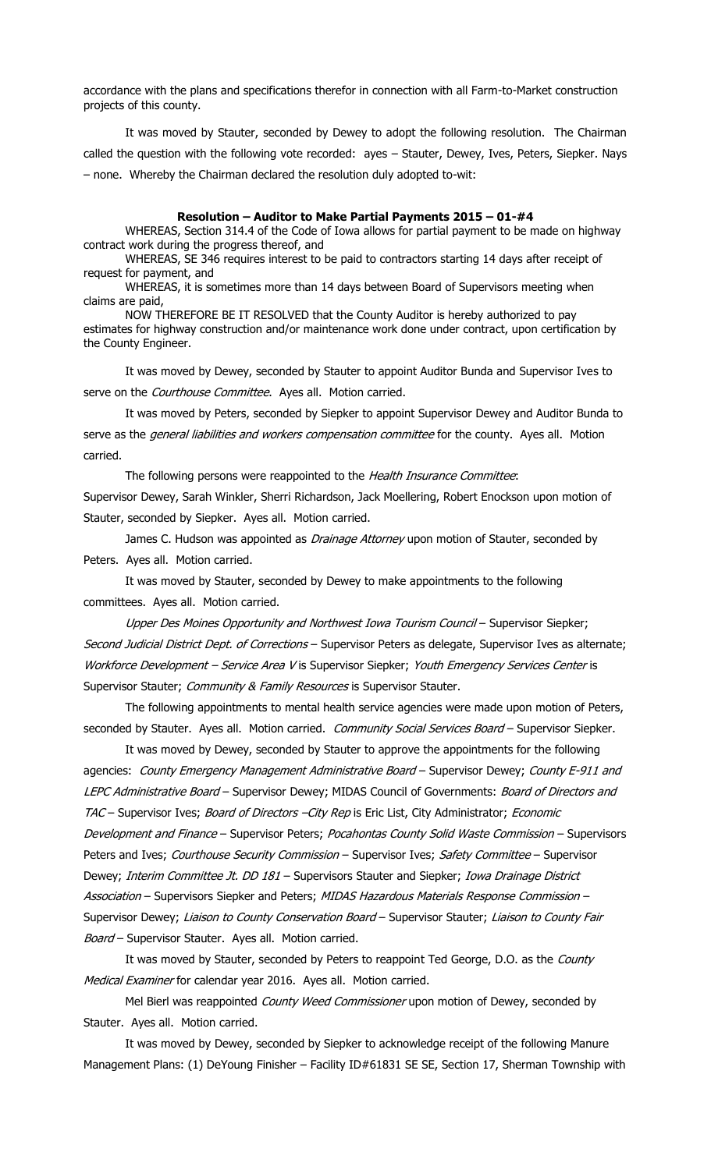accordance with the plans and specifications therefor in connection with all Farm-to-Market construction projects of this county.

It was moved by Stauter, seconded by Dewey to adopt the following resolution. The Chairman called the question with the following vote recorded: ayes - Stauter, Dewey, Ives, Peters, Siepker. Nays – none. Whereby the Chairman declared the resolution duly adopted to-wit:

## **Resolution – Auditor to Make Partial Payments 2015 – 01-#4**

WHEREAS, Section 314.4 of the Code of Iowa allows for partial payment to be made on highway contract work during the progress thereof, and

WHEREAS, SE 346 requires interest to be paid to contractors starting 14 days after receipt of request for payment, and

WHEREAS, it is sometimes more than 14 days between Board of Supervisors meeting when claims are paid,

NOW THEREFORE BE IT RESOLVED that the County Auditor is hereby authorized to pay estimates for highway construction and/or maintenance work done under contract, upon certification by the County Engineer.

It was moved by Dewey, seconded by Stauter to appoint Auditor Bunda and Supervisor Ives to serve on the Courthouse Committee. Ayes all. Motion carried.

It was moved by Peters, seconded by Siepker to appoint Supervisor Dewey and Auditor Bunda to serve as the *general liabilities and workers compensation committee* for the county. Ayes all. Motion carried.

The following persons were reappointed to the Health Insurance Committee: Supervisor Dewey, Sarah Winkler, Sherri Richardson, Jack Moellering, Robert Enockson upon motion of Stauter, seconded by Siepker. Ayes all. Motion carried.

James C. Hudson was appointed as *Drainage Attorney* upon motion of Stauter, seconded by Peters. Ayes all. Motion carried.

It was moved by Stauter, seconded by Dewey to make appointments to the following committees. Ayes all. Motion carried.

Upper Des Moines Opportunity and Northwest Iowa Tourism Council – Supervisor Siepker; Second Judicial District Dept. of Corrections - Supervisor Peters as delegate, Supervisor Ives as alternate; Workforce Development - Service Area V is Supervisor Siepker; Youth Emergency Services Center is Supervisor Stauter; Community & Family Resources is Supervisor Stauter.

The following appointments to mental health service agencies were made upon motion of Peters, seconded by Stauter. Ayes all. Motion carried. Community Social Services Board - Supervisor Siepker.

It was moved by Dewey, seconded by Stauter to approve the appointments for the following agencies: County Emergency Management Administrative Board - Supervisor Dewey; County E-911 and LEPC Administrative Board - Supervisor Dewey; MIDAS Council of Governments: Board of Directors and TAC - Supervisor Ives; Board of Directors - City Rep is Eric List, City Administrator; Economic Development and Finance - Supervisor Peters; Pocahontas County Solid Waste Commission - Supervisors Peters and Ives; Courthouse Security Commission - Supervisor Ives; Safety Committee - Supervisor Dewey; Interim Committee Jt. DD 181 - Supervisors Stauter and Siepker; Iowa Drainage District Association - Supervisors Siepker and Peters; MIDAS Hazardous Materials Response Commission -Supervisor Dewey; Liaison to County Conservation Board - Supervisor Stauter; Liaison to County Fair Board - Supervisor Stauter. Ayes all. Motion carried.

It was moved by Stauter, seconded by Peters to reappoint Ted George, D.O. as the County Medical Examiner for calendar year 2016. Ayes all. Motion carried.

Mel Bierl was reappointed County Weed Commissioner upon motion of Dewey, seconded by Stauter. Ayes all. Motion carried.

It was moved by Dewey, seconded by Siepker to acknowledge receipt of the following Manure Management Plans: (1) DeYoung Finisher - Facility ID#61831 SE SE, Section 17, Sherman Township with